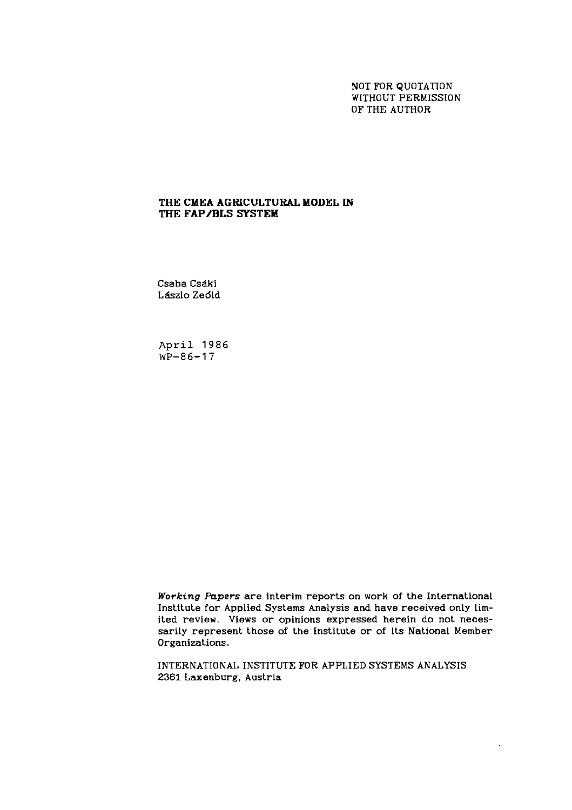NOT FOR QUOTATION WITHOUT PERMISSION OF THE AUTHOR

## THE CMEA AGRICULTURAL MODEL IN THE FAP/BLS SYSTEM

Csaba Csdki L&zlo Zedld

**April 1986 WP-86-17** 

**Working** *Fnpers* are interim reports on work of the International Institute for Applied Systems Analysis and have received only limited review. Views or opinions expressed herein do not necessarily represent those of the Institute or of lts National Member Organizations.

INTERNATIONAL INSTITUTE FOR APPLIED SYSTEMS ANALYSIS 2361 Laxenburg. Austrla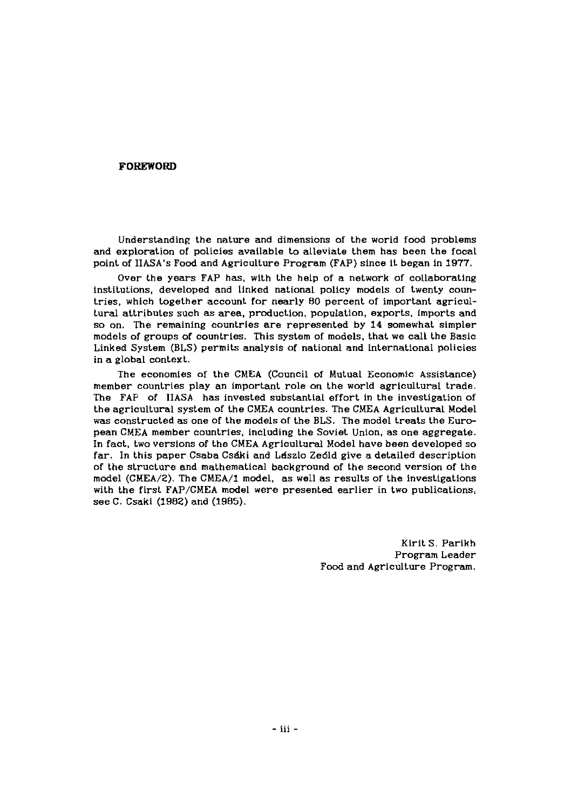### **FOREWORD**

Understanding the nature and dimensions of the world food problems and exploration of policies available to alleviate them has been the focal point of IIASA's Food and Agriculture Program (FAP) since it began in 1977.

Over the years FAP has, with the help of a network of collaborating institutions, developed and linked national policy models of twenty countries, which together account for nearly 80 percent of important agricultural attributes such as area, production, population, exports. imports and so on. The remaining countries are represented by 14 somewhat simpler models of groups of countries. This system of models, that we call the Basic Linked System (BLS) permits analysis of national and International policies in a global context.

The economies of the CMEA (Council of Mutual Economic Assistance) member countries play an important role on the world agricultural trade. The FAP of IIASA has invested substantial effort in the investigation of the agricultural system of the CMEA countries. The CMEA Agricultural Model was constructed as one of the models of the BLS. The model treats the European CMEA member countries, including the Soviet Union, as one aggregate. In fact, two versions of the CMEA Agricultural Model have been developed so far. In this paper Csaba Csáki and Lászlo Zeóld give a detailed description of the structure and mathematical background of the second version of the model (CMEA/2). The CMEA/1 model, as well as results of the investigations with the first FAP/CMEA model were presented earlier in two publications, see C. Csaki (1982) and (1985).

> Kirit S. Parikh Program Leader Food and Agriculture Program.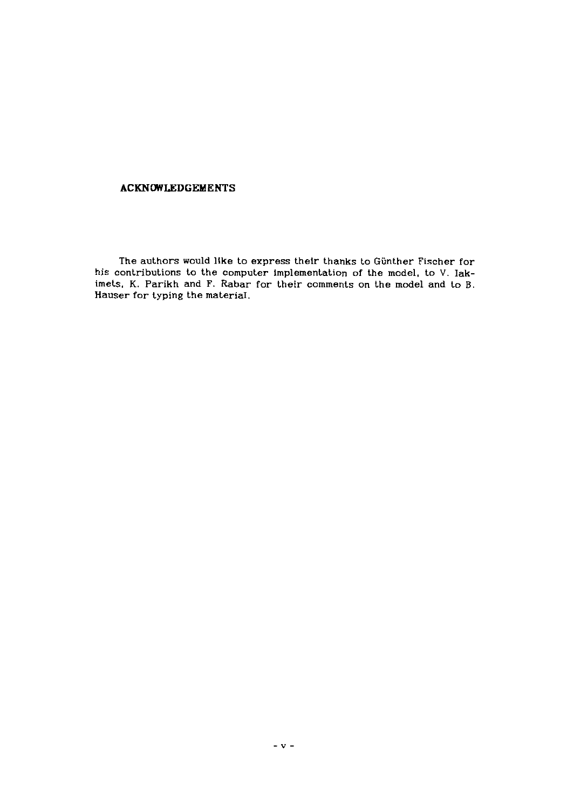## **ACKNOWLEDGEMENTS**

**The authors would llke to express their thanks to Giinther Fischer for**  his contributions to the computer implementation of the model, to V. Iak**imets, K. Parikh and F. Rabar for their comments on the model and to B. Hauser for typing the material.**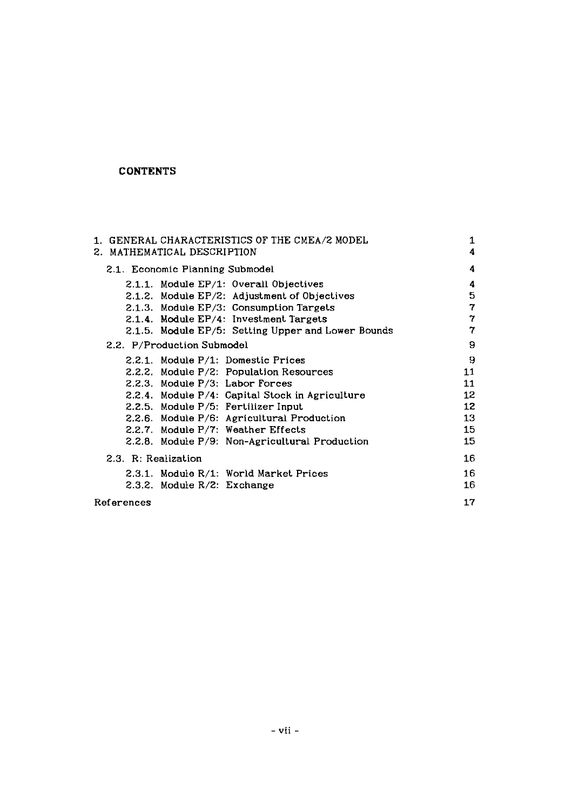# **CONTENTS**

|                             |                                 | 1. GENERAL CHARACTERISTICS OF THE CMEA/2 MODEL     | 1<br>4 |
|-----------------------------|---------------------------------|----------------------------------------------------|--------|
| 2. MATHEMATICAL DESCRIPTION |                                 |                                                    |        |
|                             | 2.1. Economic Planning Submodel |                                                    | 4      |
|                             |                                 | 2.1.1. Module EP/1: Overall Objectives             | 4      |
|                             |                                 | 2.1.2. Module EP/2: Adjustment of Objectives       | 5      |
|                             |                                 | 2.1.3. Module EP/3: Consumption Targets            | 7      |
|                             |                                 | 2.1.4. Module EP/4: Investment Targets             | 7      |
|                             |                                 | 2.1.5. Module EP/5: Setting Upper and Lower Bounds | 7      |
|                             | 2.2. P/Production Submodel      |                                                    | 9      |
|                             |                                 | 2.2.1. Module P/1: Domestic Prices                 | 9      |
|                             |                                 | 2.2.2. Module P/2: Population Resources            | 11     |
|                             | 2.2.3. Module P/3: Labor Forces |                                                    | 11     |
|                             |                                 | 2.2.4. Module P/4: Capital Stock in Agriculture    | 12     |
|                             |                                 | 2.2.5. Module P/5: Fertilizer Input                | 12     |
|                             |                                 | 2.2.6. Module P/6: Agricultural Production         | 13     |
|                             |                                 | 2.2.7. Module P/7: Weather Effects                 | 15     |
|                             |                                 | 2.2.8. Module P/9: Non-Agricultural Production     | 15     |
| 2.3. R: Realization         |                                 |                                                    | 16     |
|                             |                                 | 2.3.1. Module R/1: World Market Prices             | 16     |
|                             | 2.3.2. Module R/2: Exchange     |                                                    | 16     |
| References                  |                                 |                                                    | 17     |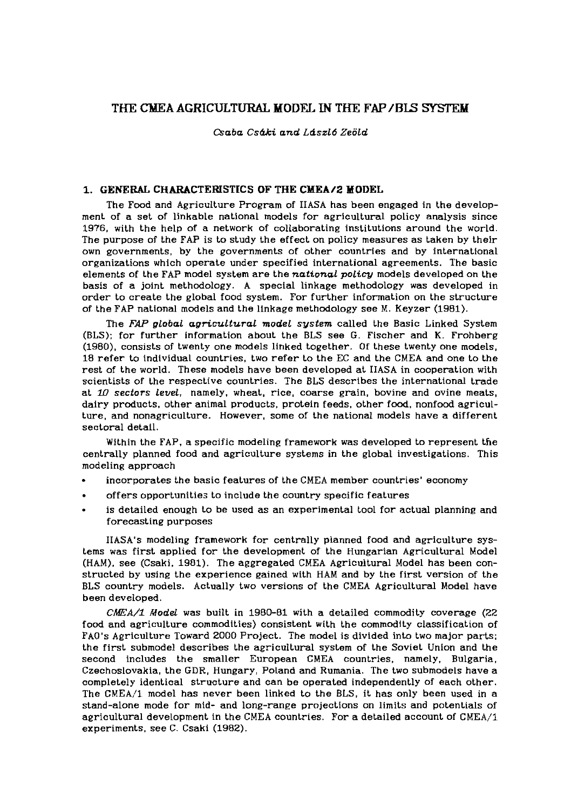## THE **CldEA AGRICULTURAL MODEL** IN THE FAP **/BE** SYSl'EX

*Oaba Cs4ki and Ldszl6 Zeold* 

### **1. GENERAL CHARACTERISTICS OF THE CMEA/2 MODEL**

The Food and Agriculture Program of IIASA has been engaged in the development of a set of linkable national models for agricultural policy analysis since 1976, with the help of a network of collaborating institutions around the world. The purpose of the FAP is to study the effect on policy measures as taken by their own governments, by the governments of other countries and by international organizations which operate under specified international agreements. The basic elements of the FAP model system are the *national policy* models developed on the basis of a joint methodology. A special linkage methodology was developed in order to create the global food system. For further information on the structure of the FAP national models and the linkage methodology see M. Keyzer (1981).

The *FAP global agricultural model system* called the Basic Linked System (BLS): for further information about the BLS see G. Fischer and K. Frohberg (1980), consists of twenty one models linked together. Of these twenty one models, 18 refer to individual countries, two refer to the EC and the CMEA and one to the rest of the world. These models have been developed at IIASA in cooperation with scientists of the respective countries. The BLS describes the international trade at 10 *sectors level,* namely, wheat, rice, coarse grain, bovine and ovine meats, dairy products, other animal products, protein feeds, other food, nonfood agriculture, and nonagriculture. However, some of the national models have a different sectoral detail.

Within the FAP, a specific modeling framework was developed to represent the centrally planned food and agriculture systems in the global investigations. This modeling approach

- incorporates the basic features of the CMEA member countries' economy
- . offers opportunities to include the country specific features
- is detailed enough to be used as an experimental tool for actual planning and forecasting purposes

IIASA's modeling framework for centrally planned food and agriculture systems was first applied for the development of the Hungarian Agricultural Model (HAM), see (Csaki, 1901). The aggregated CMEA Agricultural Model has been constructed by using the experience gained with HAM and by the first version of the BLS country models. Actually two versions of the CMEA Agricultural Model have been developed.

*ChfEA/I Model* was built in 1980-81 with a detailed commodity coverage (22 food and agriculture commodities) consistent with the commodlty classification of FAO's Agriculture Toward 2000 Project. The model is divided into two major parts: the first submodel describes the agricultural system of the Soviet Union and the second includes the smaller European CMEA countries, namely, Bulgaria, Czechoslovakia, the **GDR,** Hungary, Poland and Rumania. The two submodels have a completely identical structure and can be operated independently of each other. The CMEA/l model has never been linked to the BLS, it has only been used in a stand-alone mode for mid- and long-range projections on limits and potentials of agricultural development in the CMEA countries. For a detailed account of CMEA/l experiments. see C. Csaki (1982).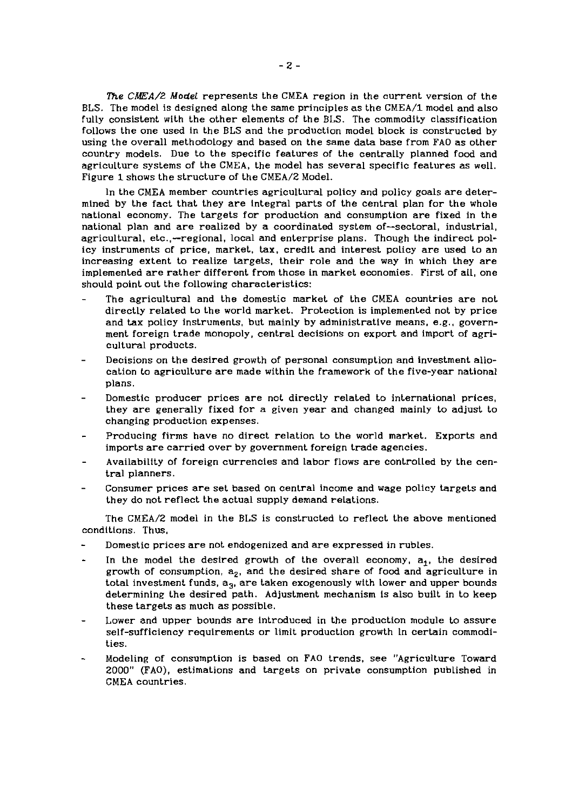*The* **CMA/2 Model** *represents the CMEA region in the current version of the BLS. The model is designed along the same principles as the CMEA/l model and also*  fully consistent with the other elements of the BLS. The commodity classification *follows the one used in the BLS and the production model block is constructed by using the overall methodology and based on the same data base from FA0 as other country models.* Due to the specific features of the centrally planned food and *agriculture systems of the CMEA, the model has several specific features as well. Figure 1 shows the structure of the CMEA/2 Model.* 

*In the CMEA member countries agricultural policy and policy goals are determined by the fact that they are integral parts of the central plan for the whole national economy. The targets for production and consumption are fixed in the national plan and are realized by a coordinated system of-sectoral, industrial,*  agricultural, etc.,--regional, local and enterprise plans. Though the indirect pol*icy instruments of price, market, tax, credit and interest policy are used to an increasing extent to realize targets, their role and the way in which they are implemented are rather different from those in market economies. First of all, one should point out the following characteristics:* 

- The agricultural and the domestic market of the CMEA countries are not *directly related to the world market. Protection is implemented not by price and tax policy instruments, but mainly by administrative means, e.g.. government foreign trade monopoly, central decisions on export and import of agricultural products.*
- *Decisions on the desired growth of personal consumption and investment allocation to agriculture are made within the framework of the five-year national plans.*
- *Domestic producer prices are not directly related to international prices, they are generally fixed for a given year and changed mainly to adjust to changing production expenses.*
- *Producing firms have no direct relation to the world market. Exports and imports are carried over by government foreign trade agencies.*
- *Availability of foreign currencies and Labor flows are controlled by the central planners.*
- *Consumer prices are set based on central income and wage policy targets and they do not reflect the actual supply demand relations.*

The CMEA/2 model in the BLS is constructed to reflect the above mentioned *conditions. Thus,* 

- *Domestic prices are not endogenized and are expressed in rubles.*
- In the model the desired growth of the overall economy,  $a_1$ , the desired growth of consumption,  $a_2$ , and the desired share of food and agriculture in *total investment funds, a3, are taken exogenously with lower and upper bounds determining the desired path. Adjustment mechanism is also built in to keep these targets as much as possible.*
- Lower and upper bounds are introduced in the production module to assure *self-sufficiency requirements or limit production growth ln certain commodities.*
- *Modeling of consumption is based on FA0 trends, see "Agriculture Toward 2000" (FAO), estimations and targets on private consumption published in CMEA countries.*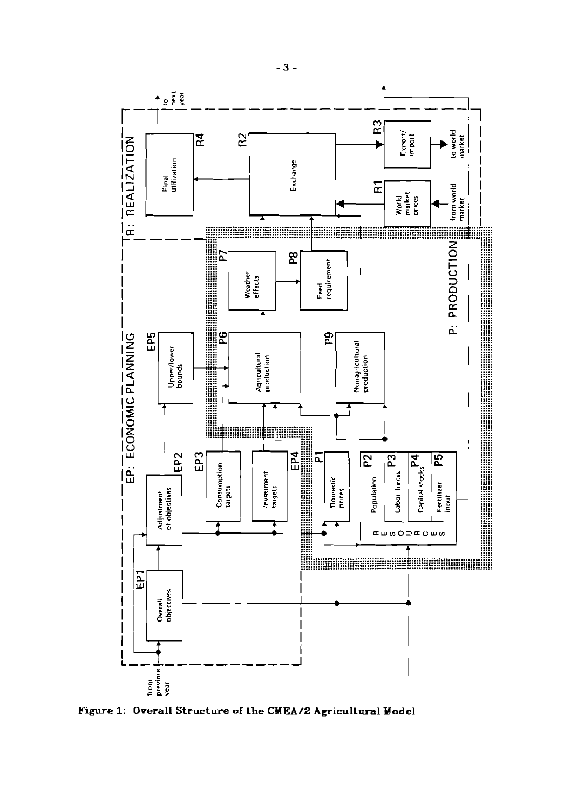

Figure 1: Overall Structure of the CMEA/2 Agricultural Model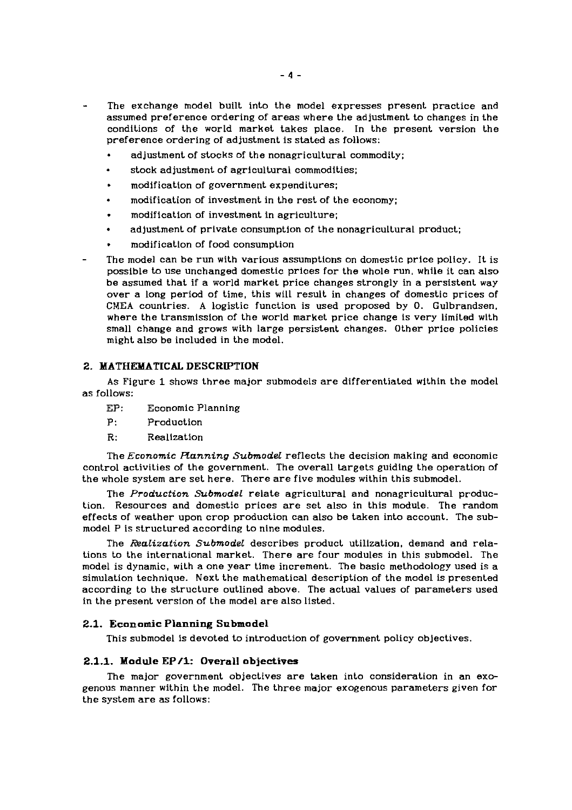- The exchange model built into the model expresses present practice and assumed preference ordering of areas where the adjustment to changes in the conditions of the world market takes place. In the present version the preference ordering of adjustment is stated as follows:
	- adjustment of stocks of the nonagricultural commodity;
	- stock adjustment of agricultural commodities;
	- stock adjustment of agricultural commodit<br>- modification of government expenditures;
	- modification of investment in the rest of the economy;
	- . modification of investment in agriculture;
	- adjustment of private consumption of the nonagricultural product;
	- . modification of food consumption
- The model can be run with various assumptions on domestic price policy. It is possible to use unchanged domestic prices for the whole run, while it can also be assumed that if a world market price changes strongly in a persistent way over a long period of time, this will result in changes of domestic prices of CMEA countries. A logistic function is used proposed by 0. Gulbrandsen. where the transmission of the world market price change is very limited with small change and grows with large persistent changes. Other price policies might also be included in the model.

### **2. MATHEXATICAL DESCRIPTION**

As Figure 1 shows three major submodels are differentiated within the model as follows:

- EP: Economic Planning
- P: Production
- R: Realization

The *Economic Running Submodel* reflects the decision making and economic control activities of the government. The overall targets guiding the operation of the whole system are set here. There are flve modules within this submodel.

The *Production Submodel* relate agricultural and nonagricultural production. Resources and domestic prices are set also in this module. The random effects of weather upon crop production can also be taken into account. The submodel P is structured according to nine modules.

The *Realization Submodel* describes product utillzation, demand and relations to the international market. There are four modules in this submodel. The model is dynamic, with a one year time increment. The basic methodology used is a simulation technique. Next the mathematical description of the model is presented according to the structure outlined above. The actual values of parameters used in the present verslon of the model are also llsted.

#### **2.1. Economic Planning Submodel**

This submodel is devoted to introduction of government policy objectives.

#### **2.1.1. Module EP/l: Overall objectives**

The major government objectives are taken into consideration in an exogenous manner within the model. The three major exogenous parameters given for the system are as follows: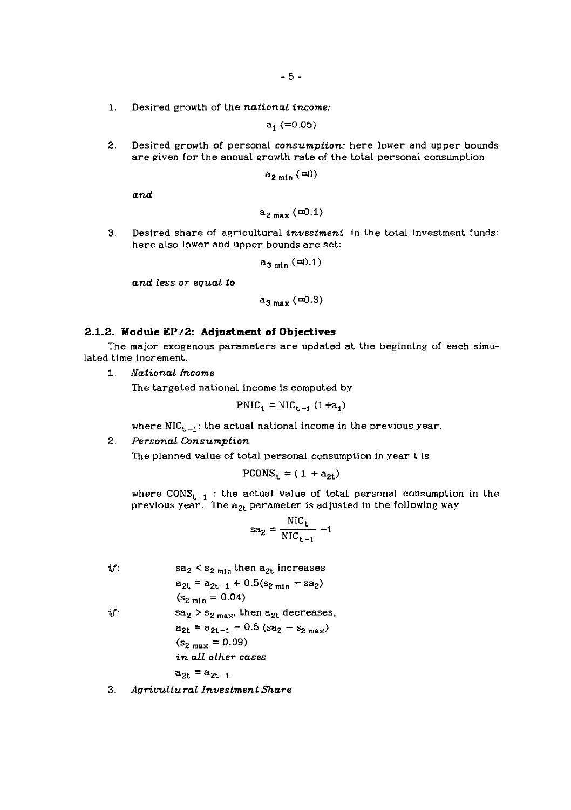**1.** Desired growth of the *national income:* 

$$
\mathbf{a_1} \; (=0.05)
$$

2. Desired growth of personal *consumption:* here lower and upper bounds are given for the annual growth rate of the total personal consumption

$$
a_{2\min}(\equiv 0)
$$

*and* 

$$
a_{2 \max} \left( =0.1 \right)
$$

3. Desired share of agricultural *investment* in the total investment funds: here also Lower and upper bounds are set:

$$
\mathsf{a}_{\mathsf{3}\,\mathsf{min}}\,(\mathbin{\raisebox{.05ex}{:}\!=} 0.1)
$$

*and less or equal to* 

$$
a_{3 \max} (\equiv 0.3)
$$

#### **2.1.2. Module EP12: Adjustment of Objectives**

The major exogenous parameters are updated at the beginning of each simulated time increment.

*1. National Income* 

The targeted national income is computed by

$$
PNIC_t = NIC_{t-1} (1 + a_1)
$$

where  $NIC_{t-1}$ : the actual national income in the previous year.

### *2. Personal Consumption*

The planned value of total personal consumption in year t is

$$
PCONS_{t} = (1 + a_{2t})
$$

where  $\text{CONS}_{t-1}$  : the actual value of total personal consumption in the previous year. The  $a_{2t}$  parameter is adjusted in the following way

$$
sa_2 = \frac{NIC_t}{NIC_{t-1}} - 1
$$

 $if:$  sa<sub>2</sub> < s<sub>2 min</sub> then a<sub>2t</sub> increases  $a_{2t} = a_{2t-1} + 0.5(s_{2 \text{ min}} - sa_2)$  $(s_{2 \text{ min}} = 0.04)$ *if*:  $sa_2 > s_{2 \text{ max}}$ , then  $a_{2t}$  decreases,  $a_{2t} = a_{2t-1} - 0.5$  (sa<sub>2</sub> - s<sub>2 max</sub>)  $(s_{2 \max} = 0.09)$ *in all other cases*   $a_{2t} = a_{2t-1}$ 

3. *Agricultural Investment Share*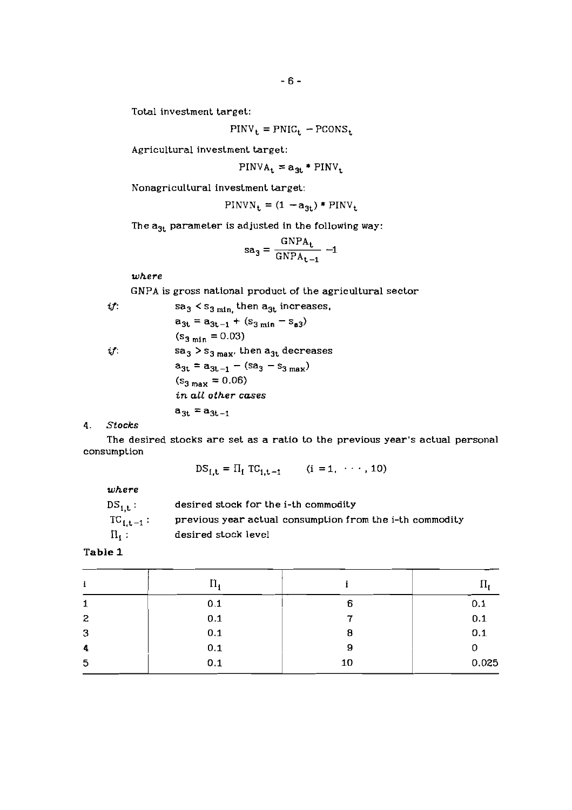Total investment target:

$$
PINV_{t} = PNIC_{t} - PCONS_{t}
$$

Agricultural investment target:

 $PINV_{t} = a_{3t} * PINV_{t}$ 

Nonagricultural investment target:

$$
PINVN_t = (1 - a_{3t}) * PINV_t
$$

The  $a_{3t}$  parameter is adjusted in the following way:

$$
sa_3 = \frac{GNPA_t}{GNPA_{t-1}} - 1
$$

*where* 

GNPA is gross national product of the agricultural sector

if:  
\n
$$
sa_{3} < s_{3 \text{ min, then } a_{3t} \text{ increases,}}
$$
\n
$$
a_{3t} = a_{3t-1} + (s_{3 \text{ min}} - s_{a3})
$$
\n
$$
(s_{3 \text{ min}} = 0.03)
$$
\nif:  
\n
$$
sa_{3} > s_{3 \text{ max, then } a_{3t} \text{ decreases}
$$
\n
$$
a_{3t} = a_{3t-1} - (sa_{3} - s_{3 \text{ max}})
$$
\n
$$
(s_{3 \text{ max}} = 0.06)
$$
\n
$$
in all other cases
$$
\n
$$
a_{3t} = a_{3t-1}
$$
\nStocks

*4. Stocks* 

The desired stocks are set as a ratio to the previous year's actual personal consumption

$$
DS_{i,t} = \Pi_i TC_{i,t-1}
$$
 (i = 1, ..., 10)

*where* 

| $\mathtt{DS}_{1,\mathbf{t}}$ : | desired stock for the i-th commodity                     |
|--------------------------------|----------------------------------------------------------|
| $TC_{1,t-1}:$                  | previous year actual consumption from the i-th commodity |
| $\Pi_{\mathbf{t}}$ :           | desired stock level                                      |

**Table 1** 

|   | $\Pi$ . |    |       |
|---|---------|----|-------|
| 1 | 0.1     | 6  | 0.1   |
| 2 | 0.1     | ., | 0.1   |
| 3 | 0.1     | 8  | 0.1   |
| 4 | 0.1     | 9  | 0     |
| 5 | 0.1     | 10 | 0.025 |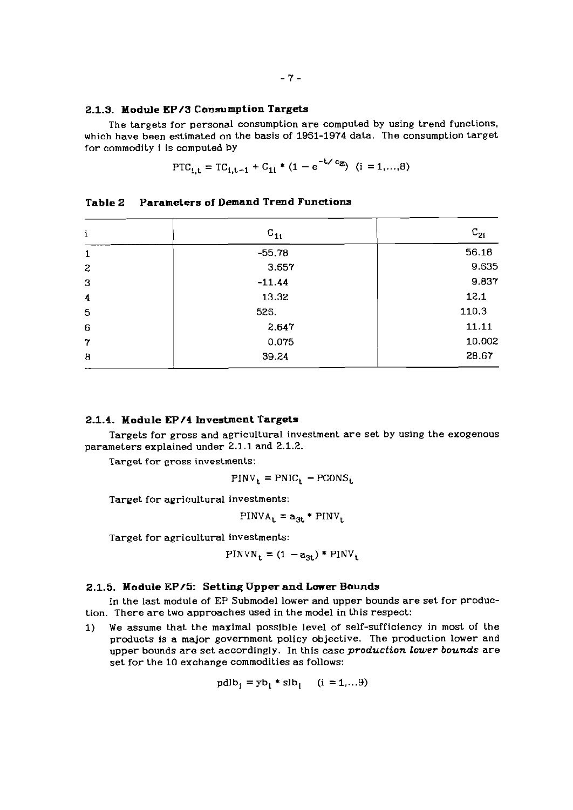#### **2.1.3. Module EP/3 Consumption Targets**

The targets for personal consumption are computed by using trend functions. which have been estimated on the basis of 1961-1974 data. The consumption target for commodity **1** is computed by

$$
\text{PTC}_{1,\mathbf{t}} = \text{TC}_{1,\mathbf{t}-1} + \text{C}_{11} * (1 - e^{-t \angle c_{\mathbf{z}_i}}) \quad (i = 1, ..., 8)
$$

| i                         | $C_{11}$ | $C_{2i}$ |
|---------------------------|----------|----------|
|                           |          |          |
| $\mathbf 1$               | $-55.78$ | 56.18    |
| $\mathbf{z}$              | 3.657    | 9.635    |
| 3                         | $-11.44$ | 9.837    |
| 4                         | 13.32    | 12.1     |
| 5                         | 526.     | 110.3    |
| $6\phantom{1}$            | 2.647    | 11.11    |
| $\mathbf 7$               | 0.075    | 10.002   |
| $\boldsymbol{\mathsf{B}}$ | 39.24    | 28.67    |

**Table 2 Parameters of Demand Trend Functions** 

#### **2.1.4. Module EP/4 Investment Targets**

Targets for gross and agricultural investment are set by using the exogenous parameters explained under 2.1.1 and 2.1.2.

Target for gross investments:

$$
PINV_t = PNIC_t - PCONS_t
$$

Target for agricultural investments:

$$
PINVA_t = a_{3t} * PINV_t
$$

Target for agricultural investments:

$$
PINVN_t = (1 - a_{3t}) * PINV_t
$$

#### **2.1.5. Module EP/Sr Setting Upper and Lower Bounds**

In the last module of EP Submodel lower and upper bounds are set for production. There are two approaches used in the model in this respect:

1) We assume that the maximal possible level of self-sufficiency in most of the products is a major government policy objective. The production lower and upper bounds are set accordingly. In this case *production Lower bounds* are set for the 10 exchange commodities as follows:

$$
pdlb1 = yb1 * slb1 \quad (i = 1,...9)
$$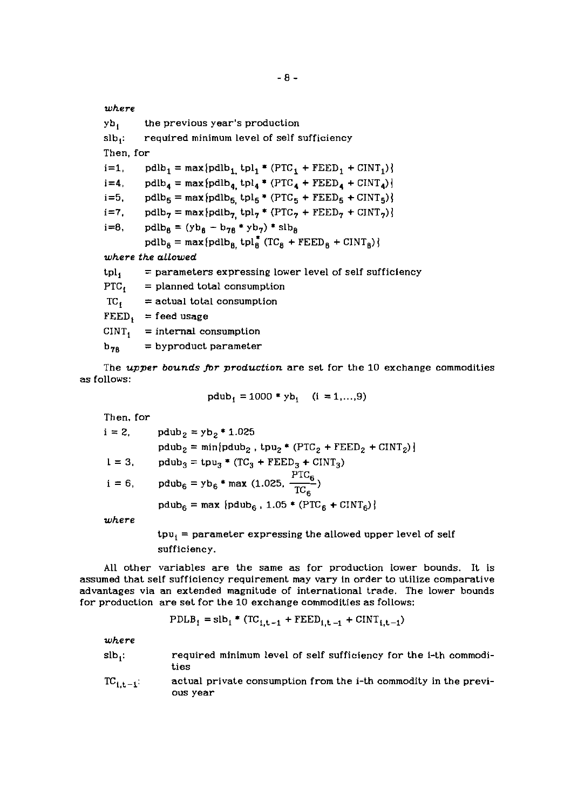$yb_1$  the previous year's production slb,: required minimum level of self sufficiency Then, for i=1, pdlb<sub>1</sub> = max $\text{pdlb}_1$  tpl<sub>1</sub> \*  $(\text{PTC}_1 + \text{FEED}_1 + \text{CINT}_1)$  $i=4$ , pdlb<sub>4</sub> = max{pdlb<sub>4</sub>, tpl<sub>4</sub> \* (PTC<sub>4</sub> + FEED<sub>4</sub> + CINT<sub>4</sub>)} i=5, pdlb<sub>5</sub> = max $\{\text{pdlb}_5 \text{ } \text{tpl}_5 \text{ } ^* \text{ } (\text{PTC}_5 + \text{FEED}_5 + \text{CINT}_5) \}$  $i=7$ ,  $pdlb<sub>7</sub> = max\{pdlb<sub>7</sub> tpl<sub>7</sub> * (PTC<sub>7</sub> + FEED<sub>7</sub> + CINT<sub>7</sub>)\}$ i=8, pdlb<sub>8</sub> = (yb<sub>8</sub> - b<sub>78</sub> \* yb<sub>7</sub>) \* slb<sub>8</sub>  $pdlb_8 = max\{pdlb_8, \text{thl}_8^* (\text{TC}_8 + \text{FEED}_8 + \text{CINT}_8) \}$ *where the allowed*   $\text{tpl}_1 = \text{parameters}$  expressing lower level of self sufficiency  $PTC_i$  = planned total consumption  $TC_i$  = actual total consumption  $FEED_i = feed usage$  $CINT<sub>i</sub>$  = internal consumption  $b_{78}$  = byproduct parameter

The *upper bounds fir production* are set for the 10 exchange commodities as follows:

$$
pdub_1 = 1000 * yb_1
$$
 (i = 1,...,9)

| Then, for |                                                                                        |
|-----------|----------------------------------------------------------------------------------------|
| $i = 2$   | $pdub_2 = yb_2 * 1.025$                                                                |
|           | $pdub_2 = min\{pdub_2, \text{tpu}_2 * (PTC_2 + FEED_2 + CINT_2)\}\$                    |
| $1 = 3$ , | $pdub_3 = tpu_3 * (TC_3 + FEED_3 + CINT_3)$                                            |
| $i = 6$ , | pdub <sub>6</sub> = yb <sub>6</sub> * max (1.025, $\frac{\text{PTC}_6}{\text{TC}_6}$ ) |
|           | $pdub_6 = max \{pdub_6, 1.05 * (PTC_6 + CINT_6)\}\$                                    |
| where     |                                                                                        |
|           | ter — campatele energicial tha allenged constant                                       |

 $tpu_1$  = parameter expressing the allowed upper level of self sufficiency.

All other variables are the same as for production lower bounds. It is assumed that self sufficiency requirement may vary in order to utilize comparative advantages via an extended magnitude of international trade. The lower bounds for production are set for the 10 exchange commodities as follows:

$$
PDLB_1 = slb_1 * (TC_{i,t-1} + FEED_{i,t-1} + CINT_{i,t-1})
$$

*where* 

- $slb_i$ : required minimum level of self sufficiency for the i-th commodities
- $TC_{i,t-1}$ : actual private consumption from the i-th commodity in the previous year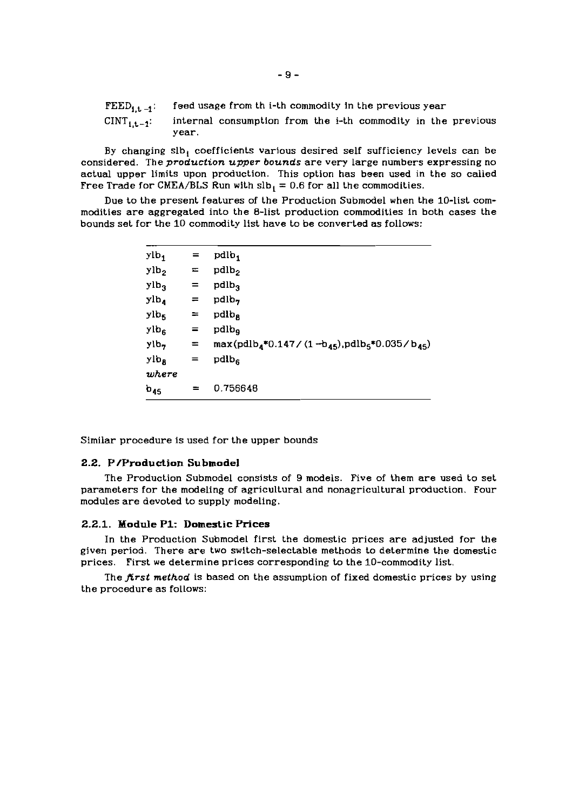- FEED<sub>1,t-1</sub>: feed usage from th i-th commodity in the previous year
- $CINT_{1,t-1}$ : internal consumption from the i-th commodity in the previous year.

By changing slb, coefficients various desired self sufficiency levels can be considered. The *production upper bounds* are very Large numbers expressing no actual upper limits upon production. This option has been used in the so called Free Trade for CMEA/BLS Run with  $slb_1 = 0.6$  for all the commodities.

Due to the present features of the Production Submodel when the 10-list commodities are aggregated into the 8-list production commodities in both cases the bounds set for the 10 commodity list have to be converted as follows:

| $ylb_1$          | $=$ | pdlb <sub>1</sub>                                                                            |
|------------------|-----|----------------------------------------------------------------------------------------------|
| ylb <sub>2</sub> | $=$ | pdlb <sub>2</sub>                                                                            |
| ylb <sub>3</sub> | $=$ | pdlb <sub>3</sub>                                                                            |
| ylb <sub>4</sub> | $=$ | pdlb <sub>7</sub>                                                                            |
| $y_{\rm lb}$     | $=$ | pdlb <sub>a</sub>                                                                            |
| ylbe             | $=$ | pdlb <sub>a</sub>                                                                            |
| $y_{1b}$         | Ξ.  | max(pdlb <sub>4</sub> *0.147/(1-b <sub>45</sub> ),pdlb <sub>5</sub> *0.035/b <sub>45</sub> ) |
| ylb <sub>B</sub> | $=$ | pdlb <sub>6</sub>                                                                            |
| where            |     |                                                                                              |
| $b_{45}$         | =   | 0.756648                                                                                     |
|                  |     |                                                                                              |

Similar procedure is used for the upper bounds

### **2.2. P/Production Submodel**

The Production Submodel consists of 9 models. Five of them are used to set parameters for the modeling of agricultural and nonagricultural production. Four modules are devoted to supply modeling.

## 2.2.1. Module P1: Domestic Prices

In the Production Submodel first the domestic prices are adjusted for the given period. There are two switch-selectable methods to determine the domestic prices. First we determine prices corresponding to the 10-commodity list.

The *first method* is based on the assumption of fixed domestic prices by using the procedure as follows: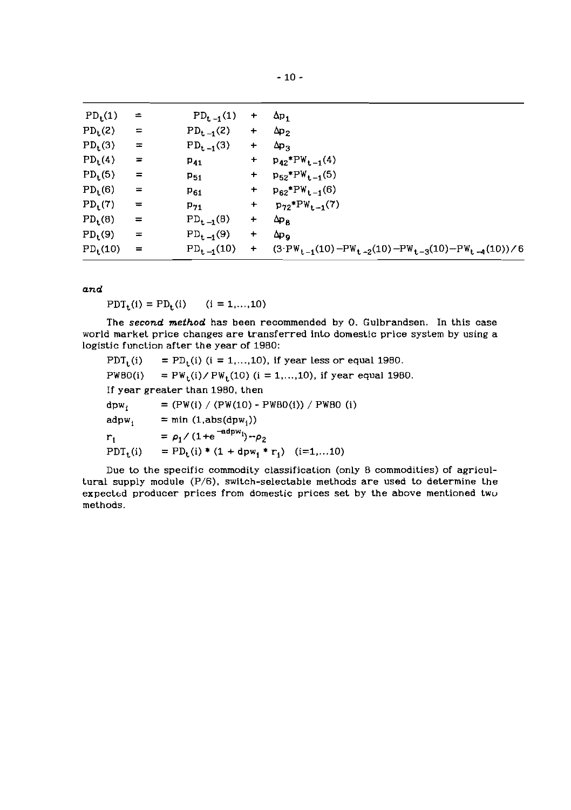| $PD_t(1)$           | $=$      | $PD_{t-1}(1)$  | $+$       | $\Delta p_1$                                                                                        |
|---------------------|----------|----------------|-----------|-----------------------------------------------------------------------------------------------------|
| $PD_{t}(2)$         | $\equiv$ | $PD_{t-1}(2)$  | $\ddot{}$ | $\Delta p_2$                                                                                        |
| PD <sub>t</sub> (3) | $\equiv$ | $PD_{t-1}(3)$  | $\ddot{}$ | $\Delta p_3$                                                                                        |
| $PD_t(4)$           | $=$      | $P_{41}$       | $+$       | $p_{42}$ * $PW_{t-1}(4)$                                                                            |
| $PD_{t}(5)$         | $=$      | $P_{51}$       | $+$       | $p_{52}$ *PW <sub>t-1</sub> (5)                                                                     |
| $PD_t(6)$           | $=$      | $P_{61}$       | $+$       | $p_{62}$ *PW <sub>t-1</sub> (6)                                                                     |
| $PD_t(7)$           | $=$      | $P_{71}$       | $+$       | $p_{72}$ *PW <sub>t-1</sub> (7)                                                                     |
| $PD_t(8)$           | $=$      | $PD_{t-1}(B)$  | $+$       | $\Delta p_B$                                                                                        |
| PD <sub>t</sub> (9) | $\equiv$ | $PD_{t-1}(9)$  | $+$       | $\Delta p_{\rm o}$                                                                                  |
| $PD_t(10)$          | $=$      | $PD_{t-1}(10)$ | $+$       | $(3 \cdot \text{PW}_{t-1}(10) - \text{PW}_{t-2}(10) - \text{PW}_{t-3}(10) - \text{PW}_{t-4}(10))/6$ |
|                     |          |                |           |                                                                                                     |

*and* 

 $PDT_{t}(i) = PD_{t}(i)$   $(i = 1,...,10)$ 

The *second method* has been recommended by **0.** Gulbrandsen. In this case world market price changes are transferred into domestic price system by using a logistic function after the year of 1980:

| $PDT_{t}(i)$    | = $PD_t(i)$ (i = 1,,10), if year less or equal 1980.  |
|-----------------|-------------------------------------------------------|
| PWBO(i)         | = $PW_t(i)/PW_t(10)$ (i = 1,,10), if year equal 1980. |
|                 | If year greater than 1980, then                       |
| $dpw_i$         | $= (PW(i) / (PW(10) - PW80(i)) / PW80$ (i)            |
| $\text{adpw}_1$ | $=$ min (1,abs(dpw <sub>1</sub> ))                    |
| $r_{1}$         | $= \rho_1 / (1 + e^{-adpw_1}) - \rho_2$               |
| $PDT_t(i)$      | = $PD_t(i) * (1 + dpw_1 * r_1)$ (i=1,10)              |

Due to the specific commodity classification (only 8 commodities) of agricultural supply module (P/6), switch-selectable methods are used to determine the expected producer prices from domestic prices set by the above mentioned twu methods.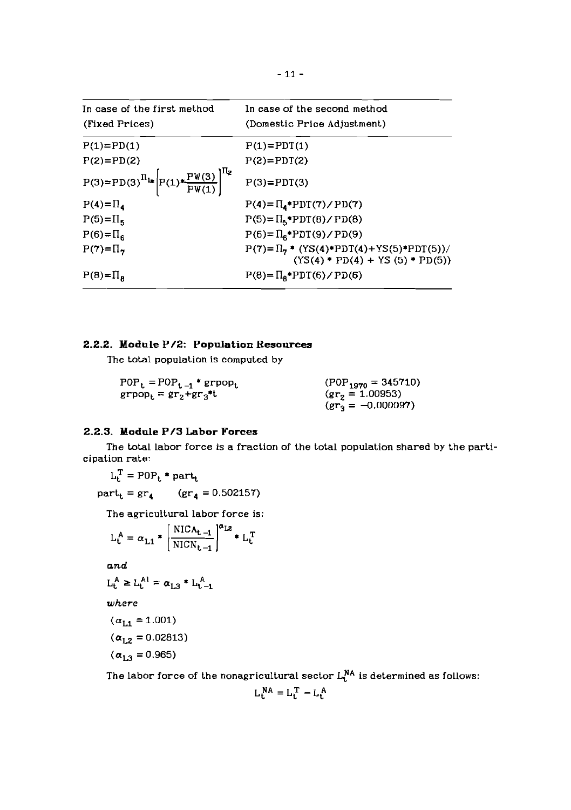|                                                                             | - 11 -                                                                                     |
|-----------------------------------------------------------------------------|--------------------------------------------------------------------------------------------|
| In case of the first method                                                 | In case of the second method                                                               |
| (Fixed Prices)                                                              | (Domestic Price Adjustment)                                                                |
| $P(1)=PD(1)$                                                                | $P(1)=PDT(1)$                                                                              |
| $P(2)=PD(2)$                                                                | $P(2)=PDT(2)$                                                                              |
| $P(3) = PD(3)^{\Pi_{1*}} \left[ P(1) * \frac{PW(3)}{PW(1)} \right]^{H_{2}}$ | $P(3)=PDT(3)$                                                                              |
| $P(4) = \Pi_4$                                                              | $P(4) = \Pi_4$ + $PDT(7) / PD(7)$                                                          |
| $P(5) = \Pi_5$                                                              | $P(5) = \Pi_5$ *PDT(8)/PD(8)                                                               |
| $P(6) = \Pi_6$                                                              | $P(6) = \Pi_6$ PDT(9)/PD(9)                                                                |
| $P(7)=\Pi_{7}$                                                              | $P(7) = \Pi_7$ * $(YS(4) * PDT(4) + YS(5) * PDT(5))/$<br>$(YS(4) * PD(4) + YS(5) * PD(5))$ |
| $P(B) = \Pi_B$                                                              | $P(8) = \Pi_R * PDT(6) / PD(6)$                                                            |

## **2.2.2. Module P/2: Population Resources**

The total population is computed by

| $POP_t = POP_{t-1} * group_t$                                     | $(POP_{1970} = 345710)$ |
|-------------------------------------------------------------------|-------------------------|
| $\text{group}_{t} = \text{gr}_{2} + \text{gr}_{3}$ <sup>*</sup> t | $gr_2 = 1.00953$        |
|                                                                   | $gr_3 = -0.000097$      |

## **2.2.3. Module P/3 Labor Forces**

The total labor force is a fraction of the total population shared by the participation rate:

$$
L_t^T = POP_t * part_t
$$

part<sub>t</sub> =  $gr_4$  ( $gr_4 = 0.502157$ )

The agricultural labor force is:

$$
L_t^A = \alpha_{L1} * \left[ \frac{NICA_{t-1}}{NICN_{t-1}} \right]^{\alpha_{L2}} * L_t^T
$$

**and** 

$$
\mathrm{L}_t^A \geq \mathrm{L}_t^{A1} = \alpha_{L3} * \mathrm{L}_{t-1}^A
$$

where

$$
(\alpha_{L1} = 1.001)
$$
  
( $\alpha_{L2} = 0.02813$ )

$$
(\alpha_{L2} = 0.02013)
$$

$$
(\alpha_{L3}=0.965)
$$

The labor force of the nonagricultural sector  $L_t^{NA}$  is determined as follows:

$$
L_t^{NA} = L_t^T - L_t^A
$$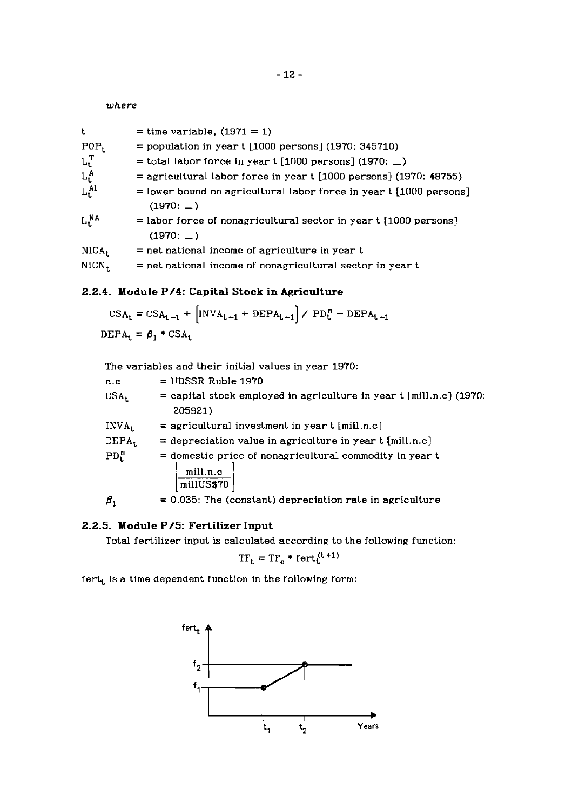*where* 

| t          | $=$ time variable, $(1971 = 1)$                                                       |
|------------|---------------------------------------------------------------------------------------|
| $POP_t$    | = population in year $t$ [1000 persons] (1970: 345710)                                |
| $L_t^T$    | = total labor force in year $t$ [1000 persons] (1970: $\Box$ )                        |
| $L_t^A$    | $=$ agricultural labor force in year t [1000 persons] (1970: 48755)                   |
| $L_t^{Al}$ | $=$ lower bound on agricultural labor force in year $t$ [1000 persons]<br>$(1970: -)$ |
| $L_t^{NA}$ | $=$ labor force of nonagricultural sector in year t [1000 persons]<br>(1970: )        |
| NICA.      | $=$ net national income of agriculture in year t                                      |
| NICN.      | = net national income of nonagricultural sector in year t                             |
|            |                                                                                       |

## **2.2.4. Module P/4: Capital Stock in Agriculture**

$$
CSA_t = CSA_{t-1} + [INVA_{t-1} + DEPA_{t-1}] / PD_t^n - DEPA_{t-1}
$$
  
DEPA<sub>t</sub> =  $\beta_1 * CSA_t$ 

The variables and their initial values in year 1970:

| n.c               | $=$ UDSSR Ruble 1970                                                             |
|-------------------|----------------------------------------------------------------------------------|
| CSA <sub>t</sub>  | $=$ capital stock employed in agriculture in year t [mill.n.c] (1970:<br>205921) |
| $INV_{A_t}$       | $=$ agricultural investment in year $t$ [mill.n.c]                               |
| DEPA <sub>t</sub> | $=$ depreciation value in agriculture in year $t$ [mill.n.c]                     |
| $PD_t^n$          | $=$ domestic price of nonagricultural commodity in year $t$                      |
|                   | mill.n.c<br>millUS\$70                                                           |
|                   | $= 0.035$ : The (constant) depreciation rate in agriculture                      |

## **2.2.5. Module P/5: Fertilizer Input**

Total fertilizer input is calculated according to the following function:

$$
TF_t = TF_o * fert_t^{(t+1)}
$$

 $fert_t$  is a time dependent function in the following form:

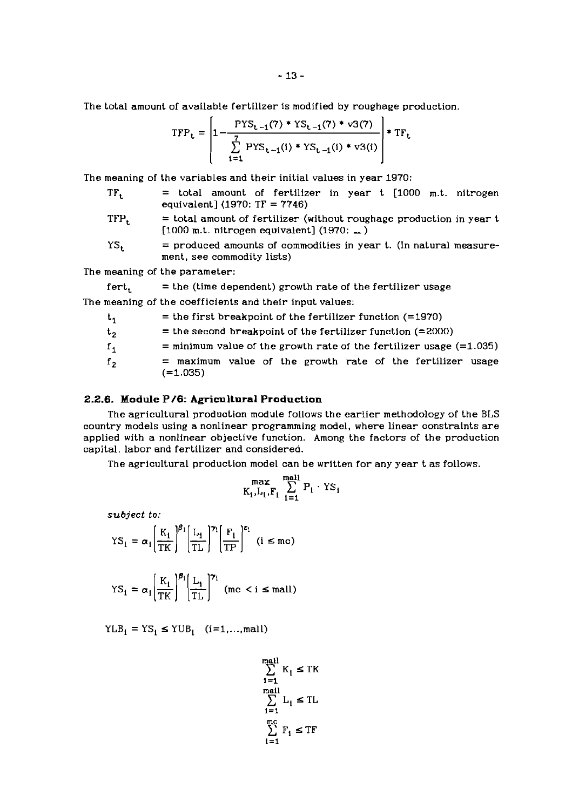The total amount of available fertilizer 1s modified by roughage production.

$$
TFP_{t} = \left| 1 - \frac{PYS_{t-1}(7) *YS_{t-1}(7) * v3(7)}{\sum_{i=1}^{7} PYS_{t-1}(i) *YS_{t-1}(i) * v3(i)} \right| * TF_{t}
$$

The meaning of the variables and their initial values in year 1970:

- TF<sub>t</sub> = total amount of fertilizer in year t [1000 m.t. nitrogen equivalent] (1970: TF = 7746)
- $TFP<sub>t</sub>$  = total amount of fertilizer (without roughage production in year t  $[1000$  m.t. nitrogen equivalent]  $(1970; \underline{\hspace{1em}})$
- $YS_t$  = produced amounts of commodities in year t. (In natural measurement, see commodity lists)

The meaning of the parameter:

 $fert_t = the (time dependent) growth rate of the fertilizer usage$ The meaning of the coefficients and their input values:

- $t_1$  = the first breakpoint of the fertilizer function (=1970)
- $t_2$  = the second breakpoint of the fertilizer function (=2000)
- $f_1$  = minimum value of the growth rate of the fertilizer usage (=1.035)
- $f<sub>2</sub>$  = maximum value of the growth rate of the fertilizer usage (=1.035)

#### **2.2.6. Module P/6: Agricultural Production**

The agricultural production module follows the earlier methodology of the BLS country models using a nonlinear programming model, where linear constraints are applied with a nonlinear objective function. Among the factors of the production capital, labor and fertilizer and considered.

The agricultural production model can be written for any year t as follows.

$$
\max_{K_i, L_i, F_i} \sum_{i=1}^{mall} P_i \cdot \Upsilon s_i
$$

*subject* **to:** 

$$
YS_1 = \alpha_1 \left[ \frac{K_1}{TK} \right]^{\beta_1} \left[ \frac{L_1}{TL} \right]^{\gamma_1} \left[ \frac{F_1}{TP} \right]^{\epsilon_1} \quad (i \leq mc)
$$

$$
YS_1 = \alpha_1 \left( \frac{K_1}{TK} \right)^{\beta_1} \left( \frac{L_1}{TL} \right)^{\gamma_1}
$$
 (mc < i  $\le$  mall)

 $YLB<sub>i</sub> = YS<sub>i</sub> \le YUB<sub>i</sub>$  (i=1,..., mall)

$$
\sum_{i=1}^{mall} K_i \leq TK
$$
  
\n
$$
\sum_{i=1}^{mall} L_i \leq TL
$$
  
\n
$$
\sum_{i=1}^{mcs} F_i \leq TF
$$
  
\n
$$
i=1
$$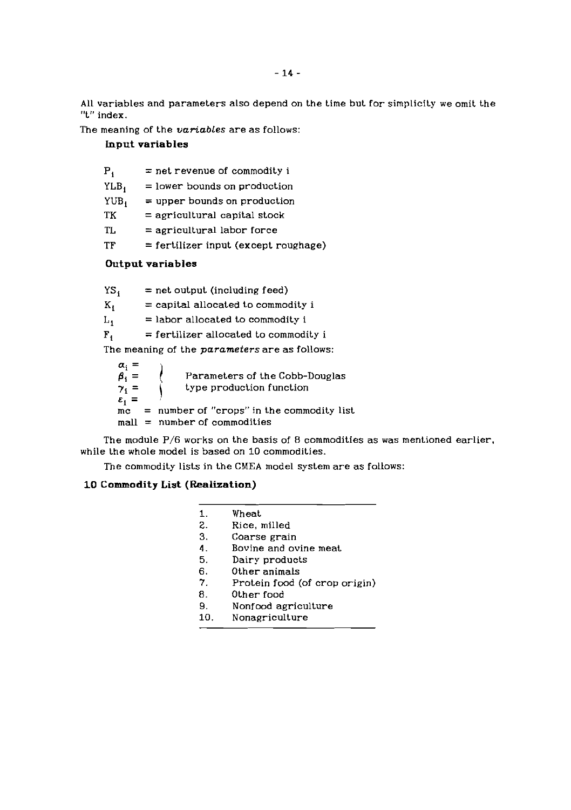ALL variables and parameters also depend on the time but for simplicity we omit the "t" index.

The meaning of the *variables* are as follows:

## **Input variables**

| $P_{1}$          | $=$ net revenue of commodity i         |
|------------------|----------------------------------------|
| YLB <sub>1</sub> | $=$ lower bounds on production         |
| $YUB_1$          | $=$ upper bounds on production         |
| TK               | $=$ agricultural capital stock         |
| TL               | $=$ agricultural labor force           |
| TF               | $=$ fertilizer input (except roughage) |
|                  |                                        |

## **Output variables**

 $YS_i$  = net output (including feed)<br> $K_i$  = capital allocated to common  $=$  capital allocated to commodity i  $L_i$  = labor allocated to commodity i  $F_1$  = fertilizer allocated to commodity i

The meaning of the *parameters* are as follows:

 $\alpha_i =$ <br> $\beta_i =$ <br> $\gamma_i =$ Parameters of the Cobb-Douglas  $\int$  type production function  $\varepsilon_1$  =  $=$  number of "crops" in the commodity list  $mall = number of commodities$ 

The module P/6 works on the basis of 8 commodities as was mentioned earlier. while the whole model is based on 10 commodities.

The commodity lists in the CMEA model system are as follows:

## **10 Commodity List (Realization)**

| 1. | Wheat                         |
|----|-------------------------------|
| 2. | Rice, milled                  |
| З. | Coarse grain                  |
| 4. | Bovine and ovine meat         |
| 5. | Dairy products                |
| 6. | Other animals                 |
| 7. | Protein food (of crop origin) |
|    |                               |

- $B_{-}$ Other food
- $9.$ Nonfood agriculture
- Nonagriculture  $10.$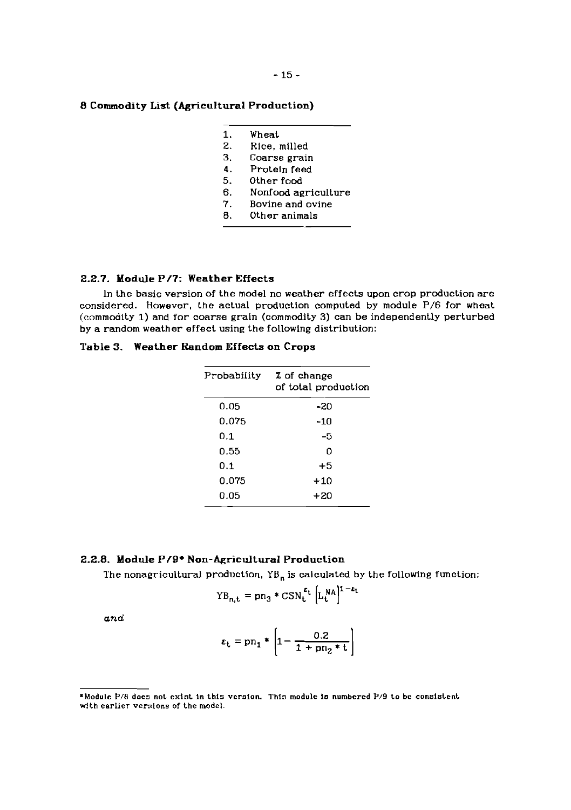## **8 Commodity List (Agricultural Production)**

- $1.$ Wheat
- $\mathbf{z}$ . Rlce, milled
- $3<sub>1</sub>$ Coarse grain
- $\ddot{4}$ . Proteln feed
- $5.$ Other food
- 6. Nonfood agriculture
- 7. Bovine and ovine
- 8. Other animals

#### **2.2.7. Module P/7: Weather Effects**

In the basic version of the model no weather effects upon crop production are considered. However, the actual production computed by module P/6 for wheat (commodity **1)** and for coarse grain (commodity **3)** can be independently perturbed by a random weather effect using the followlng distributlon:

## **Table 3. Weather Random Effects on Crops**

| Probability | % of change<br>of total production |
|-------------|------------------------------------|
| 0.05        | -20                                |
| 0.075       | -10                                |
| 0.1         | -5                                 |
| 0.55        | 0                                  |
| 0.1         | $+5$                               |
| 0.075       | $+10$                              |
| 0.05        | +20                                |

### **2.2.8. Module P/9\* Non-&ricultural Production**

The nonagricultural production. **YB,** is calculated by the following function:

$$
YB_{n,t} = pn_3 * CSN_t^{\epsilon_t} \left[ L_t^{NA} \right]^{1-\epsilon_t}
$$

*and* 

$$
\varepsilon_{\rm t} = {\rm pn}_1*\left[1-\frac{0.2}{1+{\rm pn}_2*t}\right]
$$

**<sup>\*</sup>Module P/8 does not exist in this verslon. This module is numbered P/9 to be consistent**  with earlier versions of the model.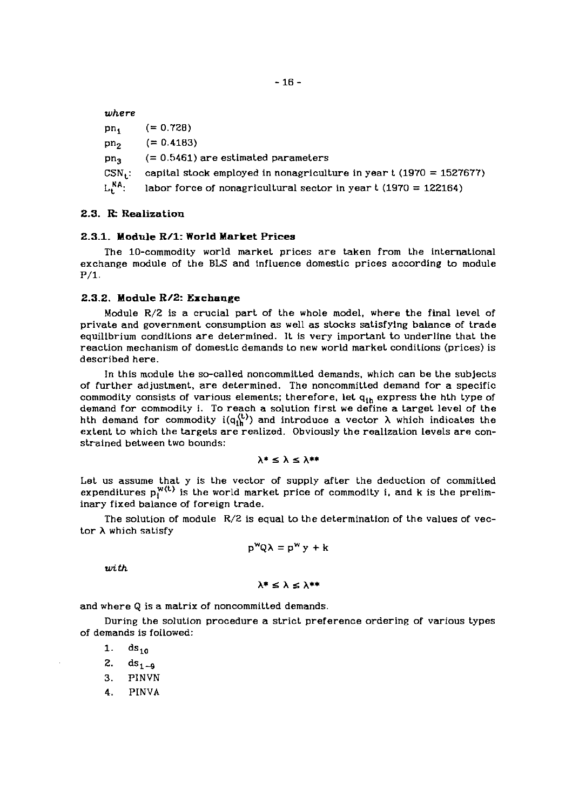| where           |                                                                       |
|-----------------|-----------------------------------------------------------------------|
| pn.             | $(= 0.728)$                                                           |
| pn <sub>2</sub> | $(= 0.4183)$                                                          |
| pn <sub>2</sub> | $(= 0.5461)$ are estimated parameters                                 |
| $CSN_{\rm t}$ . | capital stock employed in nonagriculture in year $t$ (1970 = 1527677) |
| $L^{NA}$ :      | labor force of nonagricultural sector in year $t$ (1970 = 122164)     |

### **2.3. R-** Realization

### **2.3.1.** Module **R/1:** World Market Prices

The 10-commodity world market prices are taken from the international exchange module of the BLS and influence domestic prices according to module P/1.

### **2.3.2.** Module **R/2:** Exchange

Module  $R/2$  is a crucial part of the whole model, where the final level of private and government consumption as well as stocks satisfying balance of trade equilibrium conditions are determined. It is very important to underline that the reaction mechanism of domestic demands to new world market conditions (prices) is described here.

In this module the so-called noncommitted demands, which can be the subjects of further adjustment, are determined. The noncommitted demand for a specific commodity consists of various elements; therefore, Let **q,,,** express the hth type of demand for commodity i. To reach a solution first we define a target level of the hth demand for commodity  $i(q_{1h}^{(t)})$  and introduce a vector  $\lambda$  which indicates the extent to which the targets are realized. Obviously the realization levels are constrained between two bounds:

$$
\lambda^* \leq \lambda \leq \lambda^{***}
$$

Let us assume that y is the vector of supply after the deduction of committed expenditures  $p_1^{w(t)}$  is the world market price of commodity i, and k is the preliminary fixed balance of foreign trade.

The solution of module R/2 is equal to the determination of the values of vector **A** which satisfy

$$
p^{w}Q\lambda = p^{w}y + k
$$

*with* 

 $\lambda^* \leq \lambda < \lambda^{**}$ 

and where Q is a matrix of noncommitted demands

During the solution procedure a strict preference ordering of various types of demands is followed:

1.  $ds_{10}$ 

2.  $ds_{1-9}$ 

3. PlNVN

4. PINVA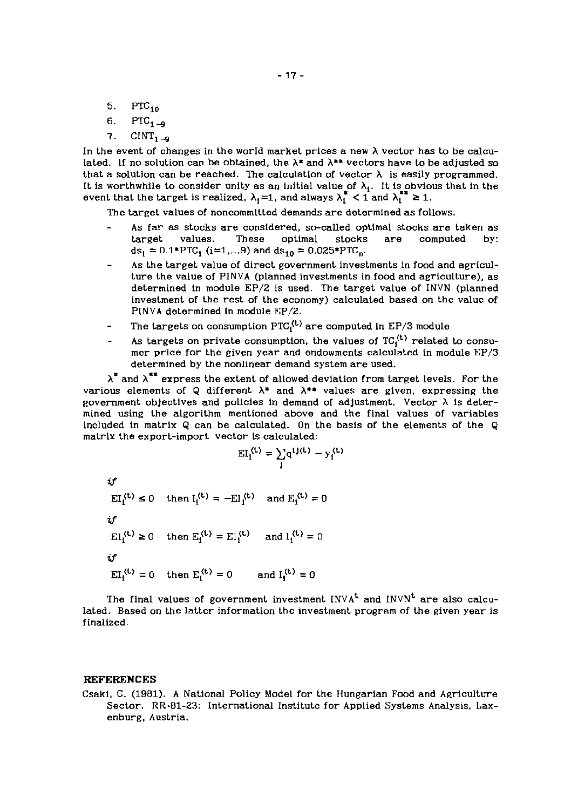- 5. PTC,,
- 6. PTC<sub>1,-0</sub>
- 7.  $CINT<sub>1,-9</sub>$

In the event of changes in the world market prices a new  $\lambda$  vector has to be calculated. If no solution can be obtained, the  $\lambda^*$  and  $\lambda^{**}$  vectors have to be adjusted so that a solution can be reached. The calculation of vector  $\lambda$  is easily programmed. It is worthwhile to consider unity as an initial value of  $\lambda_1$ . It is obvious that in the event that the target is realized,  $\lambda_1 = 1$ , and always  $\lambda_1^* < 1$  and  $\lambda_1^{**} \ge 1$ .

The target values of noncommitted demands are determined as follows.

- As far as stocks are considered, so-called optimal stocks are taken as<br>target values. These optimal stocks are computed by: optimal stocks are computed by:  $ds_1 = 0.1*PTC_1$  (i=1,...9) and  $ds_{10} = 0.025*PTC_n$ .
- As the target value of direct government investments in food and agriculture the value of PINVA (planned investments in food and agriculture), as determined in module EP/2 is used. The target value of INVN (planned investment of the rest of the economy) calculated based on the value of PINVA determined in module EP/2.
- The targets on consumption  $\text{PTC}_1^{(t)}$  are computed in EP/3 module
- As targets on private consumption, the values of  $TC<sub>i</sub><sup>(t)</sup>$  related to consumer price for the given year and endowments calculated in module EP/3 determined by the nonlinear demand system are used.

 $\lambda^*$  and  $\lambda^{**}$  express the extent of allowed deviation from target levels. For the various elements of Q different  $\lambda^*$  and  $\lambda^{**}$  values are given, expressing the government objectives and policies in demand of adjustment. Vector **A** is determined using the algorithm mentioned above and the final values of variables included in matrix Q can be calculated. On the basis of the elements of the Q matrix the export-import vector is calculated:<br> $EI_i^{(t)} = \sum q^{1j(t)} - y_i^{(t)}$ 

$$
EI_1^{(t)} = \sum_j q^{1j(t)} - y_j^{(t)}
$$

*tP*   $EI_i^{(t)} \le 0$  then  $I_i^{(t)} = -EI_i^{(t)}$  and  $E_i^{(t)} = 0$ *tP*   $EL_1^{(t)} \ge 0$  then  $E_1^{(t)} = EL_1^{(t)}$  and  $l_1^{(t)} = 0$ *tP*   $EI_1^{(t)} = 0$  then  $E_1^{(t)} = 0$  and  $I_1^{(t)} = 0$ 

The final values of government investment  $INVA<sup>t</sup>$  and  $INVN<sup>t</sup>$  are also calculated. Based on the latter information the investment program of the given year is finalized.

## **REFERENCES**

Csaki. C. (1981). A National Policy Model for the Hungarian Food and Agriculture Sector. RR-81-23: International Institute for Applied Systems Analysis. Laxenburg, Austria.